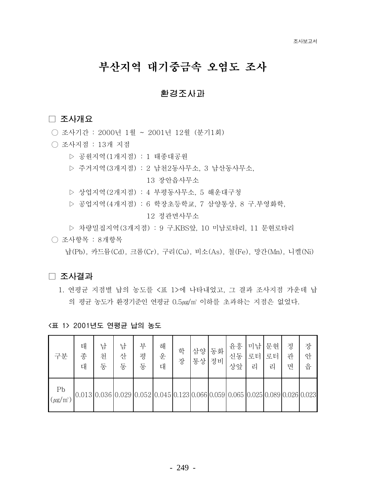# 부산지역 대기중금속 오염도 조사

## 환경조사과

### □ 조사개요

- 조사기간 : 2000년 1월 ~ 2001년 12월 (분기1회)
- 조사지점 : 13개 지점
	- ▷ 공원지역(1개지점) : 1 태종대공원
	- ▷ 주거지역 (3개지점) : 2 남처2동사무소, 3 남산동사무소,

13 장아읍사무소

- ▷ 상업지역 (2개지점) : 4 부평동사무소, 5 해운대구청
- ▷ 공업지역 (4개지점) : 6 학장초등학교, 7 삼양통상, 8 구.부영화학,

12 정관면사무소

▷ 차량밀집지역 (3개지점) : 9 구.KBS앞, 10 미남로타리, 11 문협로타리

○ 조사항목 : 8개항목

남(Pb), 카드뮴(Cd), 크롬(Cr), 구리(Cu), 비소(As), 철(Fe), 망간(Mn), 니켈(Ni)

#### □ 조사결과

1. 연평균 지점별 납의 농도를 <표 1>에 나타내었고, 그 결과 조사지점 가운데 납 의 평균 농도가 환경기준인 연평균 0.5ug/m' 이하를 초과하는 지점은 없었다.

| 구분                                          | 태<br>종<br>대                                                                   | 남<br>천<br>동 | 산<br>동 | 부<br>평<br>동 | 해<br>운<br>대 | 학<br>장 | 삼양<br>통상 | 동화<br>정비 | 윤흥<br>신동<br>상앞 | 미남 <br>로터<br>리 | 문현<br>로터<br>리 | 정<br>관<br>면 | 장<br>안<br>읍 |
|---------------------------------------------|-------------------------------------------------------------------------------|-------------|--------|-------------|-------------|--------|----------|----------|----------------|----------------|---------------|-------------|-------------|
| P <sub>b</sub><br>$(\mu$ g/m <sup>3</sup> ) | 0.013 0.036 0.029 0.052 0.045 0.123 0.066 0.059 0.065 0.025 0.089 0.026 0.023 |             |        |             |             |        |          |          |                |                |               |             |             |

### <표 1> 2001년도 연평균 납의 농도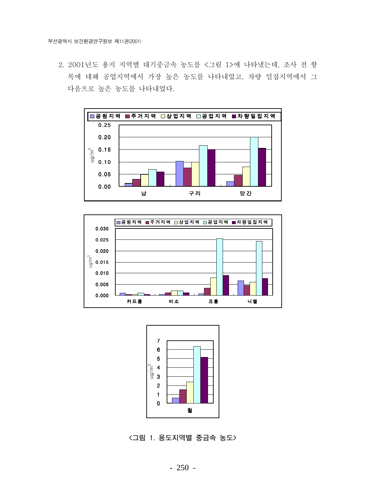2. 2001년도 용지 지역별 대기중금속 농도를 <그림 1>에 나타냈는데, 조사 전 항 목에 대해 공업지역에서 가장 높은 농도를 나타내었고, 차량 밀집지역에서 그 다음으로 높은 농도를 나타내었다.







<그림 1. 용도지역별 중금속 농도>